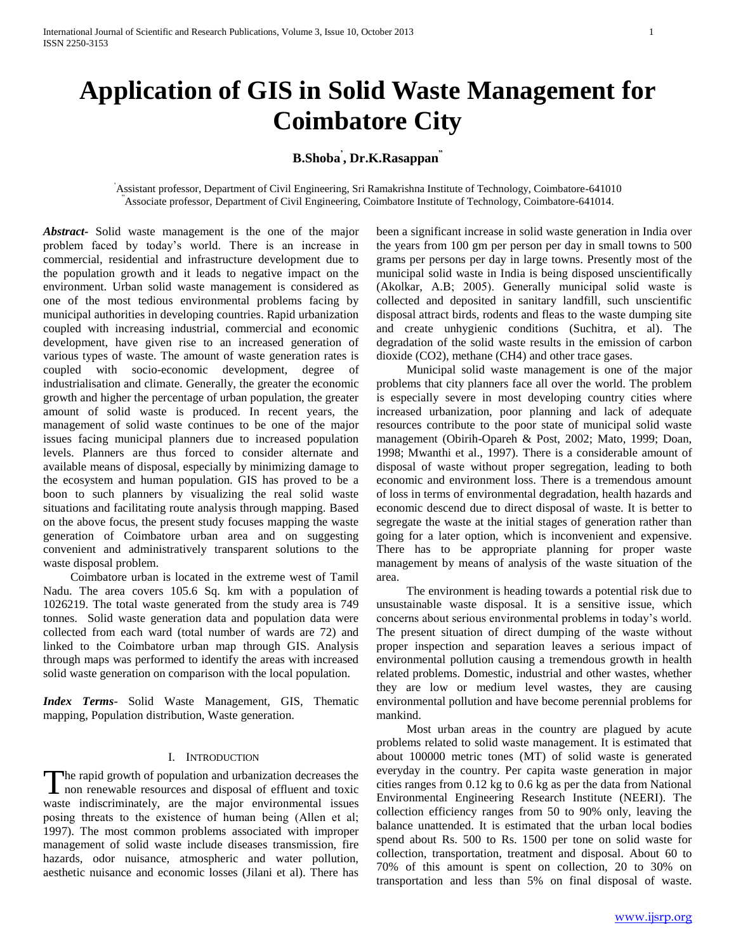# **Application of GIS in Solid Waste Management for Coimbatore City**

# **B.Shoba' , Dr.K.Rasappan"**

# "Assistant professor, Department of Civil Engineering, Sri Ramakrishna Institute of Technology, Coimbatore-641010 Associate professor, Department of Civil Engineering, Coimbatore Institute of Technology, Coimbatore-641014.

*Abstract***-** Solid waste management is the one of the major problem faced by today"s world. There is an increase in commercial, residential and infrastructure development due to the population growth and it leads to negative impact on the environment. Urban solid waste management is considered as one of the most tedious environmental problems facing by municipal authorities in developing countries. Rapid urbanization coupled with increasing industrial, commercial and economic development, have given rise to an increased generation of various types of waste. The amount of waste generation rates is coupled with socio-economic development, degree of industrialisation and climate. Generally, the greater the economic growth and higher the percentage of urban population, the greater amount of solid waste is produced. In recent years, the management of solid waste continues to be one of the major issues facing municipal planners due to increased population levels. Planners are thus forced to consider alternate and available means of disposal, especially by minimizing damage to the ecosystem and human population. GIS has proved to be a boon to such planners by visualizing the real solid waste situations and facilitating route analysis through mapping. Based on the above focus, the present study focuses mapping the waste generation of Coimbatore urban area and on suggesting convenient and administratively transparent solutions to the waste disposal problem.

 Coimbatore urban is located in the extreme west of Tamil Nadu. The area covers 105.6 Sq. km with a population of 1026219. The total waste generated from the study area is 749 tonnes. Solid waste generation data and population data were collected from each ward (total number of wards are 72) and linked to the Coimbatore urban map through GIS. Analysis through maps was performed to identify the areas with increased solid waste generation on comparison with the local population.

*Index Terms*- Solid Waste Management, GIS, Thematic mapping, Population distribution, Waste generation.

# I. INTRODUCTION

he rapid growth of population and urbanization decreases the The rapid growth of population and urbanization decreases the<br>non renewable resources and disposal of effluent and toxic waste indiscriminately, are the major environmental issues posing threats to the existence of human being (Allen et al; 1997). The most common problems associated with improper management of solid waste include diseases transmission, fire hazards, odor nuisance, atmospheric and water pollution, aesthetic nuisance and economic losses (Jilani et al). There has been a significant increase in solid waste generation in India over the years from 100 gm per person per day in small towns to 500 grams per persons per day in large towns. Presently most of the municipal solid waste in India is being disposed unscientifically (Akolkar, A.B; 2005). Generally municipal solid waste is collected and deposited in sanitary landfill, such unscientific disposal attract birds, rodents and fleas to the waste dumping site and create unhygienic conditions (Suchitra, et al). The degradation of the solid waste results in the emission of carbon dioxide (CO2), methane (CH4) and other trace gases.

 Municipal solid waste management is one of the major problems that city planners face all over the world. The problem is especially severe in most developing country cities where increased urbanization, poor planning and lack of adequate resources contribute to the poor state of municipal solid waste management (Obirih-Opareh & Post, 2002; Mato, 1999; Doan, 1998; Mwanthi et al., 1997). There is a considerable amount of disposal of waste without proper segregation, leading to both economic and environment loss. There is a tremendous amount of loss in terms of environmental degradation, health hazards and economic descend due to direct disposal of waste. It is better to segregate the waste at the initial stages of generation rather than going for a later option, which is inconvenient and expensive. There has to be appropriate planning for proper waste management by means of analysis of the waste situation of the area.

 The environment is heading towards a potential risk due to unsustainable waste disposal. It is a sensitive issue, which concerns about serious environmental problems in today"s world. The present situation of direct dumping of the waste without proper inspection and separation leaves a serious impact of environmental pollution causing a tremendous growth in health related problems. Domestic, industrial and other wastes, whether they are low or medium level wastes, they are causing environmental pollution and have become perennial problems for mankind.

 Most urban areas in the country are plagued by acute problems related to solid waste management. It is estimated that about 100000 metric tones (MT) of solid waste is generated everyday in the country. Per capita waste generation in major cities ranges from 0.12 kg to 0.6 kg as per the data from National Environmental Engineering Research Institute (NEERI). The collection efficiency ranges from 50 to 90% only, leaving the balance unattended. It is estimated that the urban local bodies spend about Rs. 500 to Rs. 1500 per tone on solid waste for collection, transportation, treatment and disposal. About 60 to 70% of this amount is spent on collection, 20 to 30% on transportation and less than 5% on final disposal of waste.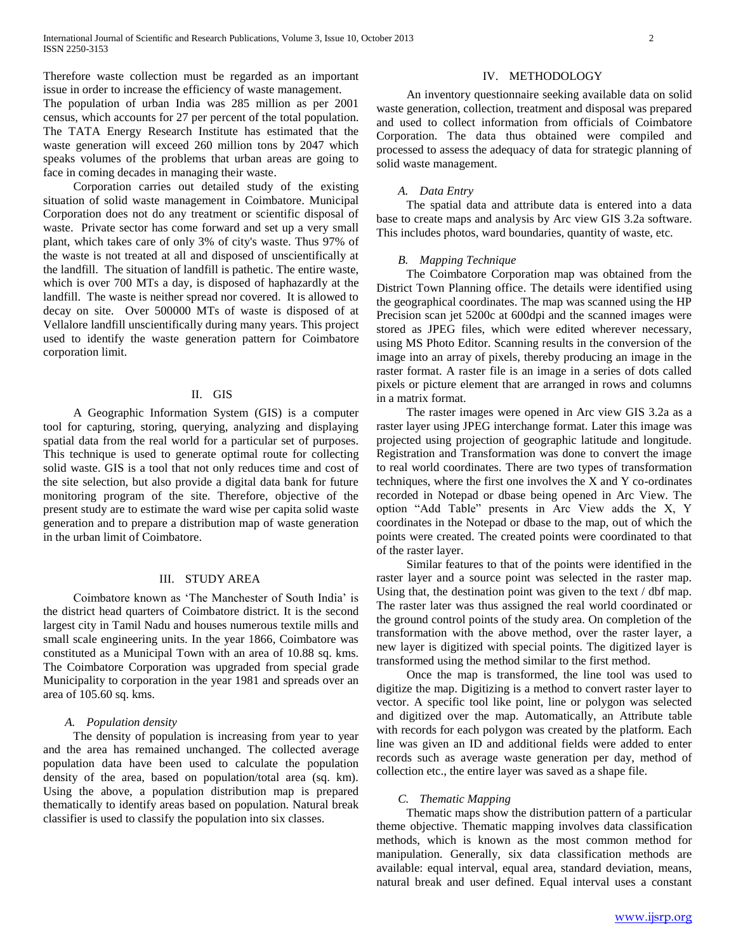Therefore waste collection must be regarded as an important issue in order to increase the efficiency of waste management.

The population of urban India was 285 million as per 2001 census, which accounts for 27 per percent of the total population. The TATA Energy Research Institute has estimated that the waste generation will exceed 260 million tons by 2047 which speaks volumes of the problems that urban areas are going to face in coming decades in managing their waste.

 Corporation carries out detailed study of the existing situation of solid waste management in Coimbatore. Municipal Corporation does not do any treatment or scientific disposal of waste. Private sector has come forward and set up a very small plant, which takes care of only 3% of city's waste. Thus 97% of the waste is not treated at all and disposed of unscientifically at the landfill. The situation of landfill is pathetic. The entire waste, which is over 700 MTs a day, is disposed of haphazardly at the landfill. The waste is neither spread nor covered. It is allowed to decay on site. Over 500000 MTs of waste is disposed of at Vellalore landfill unscientifically during many years. This project used to identify the waste generation pattern for Coimbatore corporation limit.

# II. GIS

 A Geographic Information System (GIS) is a computer tool for capturing, storing, querying, analyzing and displaying spatial data from the real world for a particular set of purposes. This technique is used to generate optimal route for collecting solid waste. GIS is a tool that not only reduces time and cost of the site selection, but also provide a digital data bank for future monitoring program of the site. Therefore, objective of the present study are to estimate the ward wise per capita solid waste generation and to prepare a distribution map of waste generation in the urban limit of Coimbatore.

# III. STUDY AREA

 Coimbatore known as "The Manchester of South India" is the district head quarters of Coimbatore district. It is the second largest city in Tamil Nadu and houses numerous textile mills and small scale engineering units. In the year 1866, Coimbatore was constituted as a Municipal Town with an area of 10.88 sq. kms. The Coimbatore Corporation was upgraded from special grade Municipality to corporation in the year 1981 and spreads over an area of 105.60 sq. kms.

#### *A. Population density*

 The density of population is increasing from year to year and the area has remained unchanged. The collected average population data have been used to calculate the population density of the area, based on population/total area (sq. km). Using the above, a population distribution map is prepared thematically to identify areas based on population. Natural break classifier is used to classify the population into six classes.

# IV. METHODOLOGY

 An inventory questionnaire seeking available data on solid waste generation, collection, treatment and disposal was prepared and used to collect information from officials of Coimbatore Corporation. The data thus obtained were compiled and processed to assess the adequacy of data for strategic planning of solid waste management.

#### *A. Data Entry*

 The spatial data and attribute data is entered into a data base to create maps and analysis by Arc view GIS 3.2a software. This includes photos, ward boundaries, quantity of waste, etc.

# *B. Mapping Technique*

 The Coimbatore Corporation map was obtained from the District Town Planning office. The details were identified using the geographical coordinates. The map was scanned using the HP Precision scan jet 5200c at 600dpi and the scanned images were stored as JPEG files, which were edited wherever necessary, using MS Photo Editor. Scanning results in the conversion of the image into an array of pixels, thereby producing an image in the raster format. A raster file is an image in a series of dots called pixels or picture element that are arranged in rows and columns in a matrix format.

 The raster images were opened in Arc view GIS 3.2a as a raster layer using JPEG interchange format. Later this image was projected using projection of geographic latitude and longitude. Registration and Transformation was done to convert the image to real world coordinates. There are two types of transformation techniques, where the first one involves the X and Y co-ordinates recorded in Notepad or dbase being opened in Arc View. The option "Add Table" presents in Arc View adds the X, Y coordinates in the Notepad or dbase to the map, out of which the points were created. The created points were coordinated to that of the raster layer.

 Similar features to that of the points were identified in the raster layer and a source point was selected in the raster map. Using that, the destination point was given to the text / dbf map. The raster later was thus assigned the real world coordinated or the ground control points of the study area. On completion of the transformation with the above method, over the raster layer, a new layer is digitized with special points. The digitized layer is transformed using the method similar to the first method.

 Once the map is transformed, the line tool was used to digitize the map. Digitizing is a method to convert raster layer to vector. A specific tool like point, line or polygon was selected and digitized over the map. Automatically, an Attribute table with records for each polygon was created by the platform. Each line was given an ID and additional fields were added to enter records such as average waste generation per day, method of collection etc., the entire layer was saved as a shape file.

# *C. Thematic Mapping*

 Thematic maps show the distribution pattern of a particular theme objective. Thematic mapping involves data classification methods, which is known as the most common method for manipulation. Generally, six data classification methods are available: equal interval, equal area, standard deviation, means, natural break and user defined. Equal interval uses a constant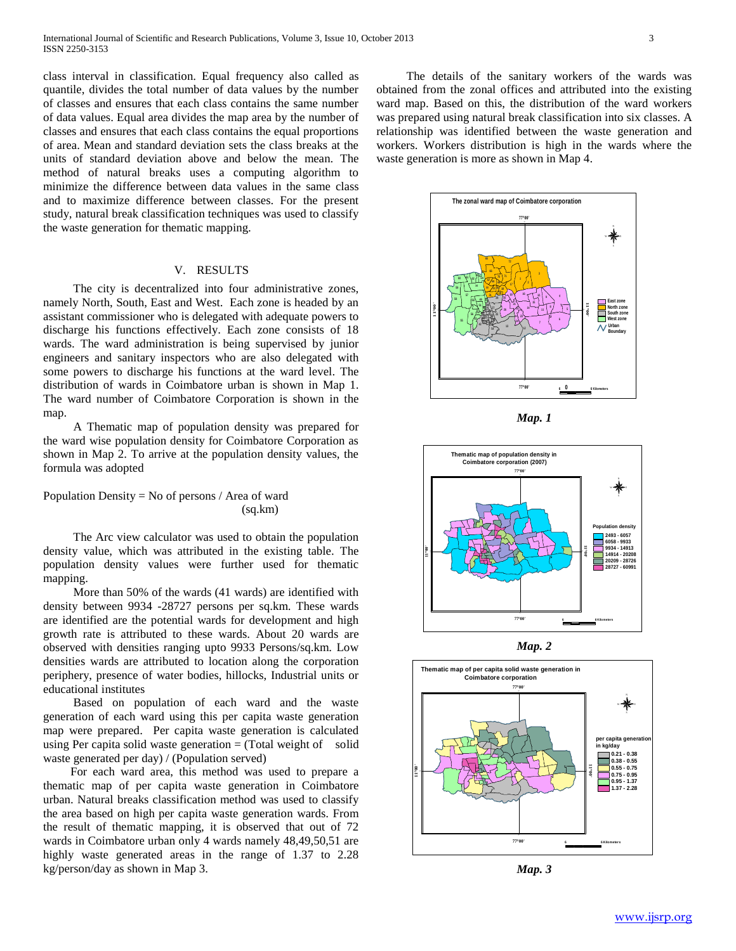class interval in classification. Equal frequency also called as quantile, divides the total number of data values by the number of classes and ensures that each class contains the same number of data values. Equal area divides the map area by the number of classes and ensures that each class contains the equal proportions of area. Mean and standard deviation sets the class breaks at the units of standard deviation above and below the mean. The method of natural breaks uses a computing algorithm to minimize the difference between data values in the same class and to maximize difference between classes. For the present study, natural break classification techniques was used to classify the waste generation for thematic mapping.

# V. RESULTS

 The city is decentralized into four administrative zones, namely North, South, East and West. Each zone is headed by an assistant commissioner who is delegated with adequate powers to discharge his functions effectively. Each zone consists of 18 wards. The ward administration is being supervised by junior engineers and sanitary inspectors who are also delegated with some powers to discharge his functions at the ward level. The distribution of wards in Coimbatore urban is shown in Map 1. The ward number of Coimbatore Corporation is shown in the map.

 A Thematic map of population density was prepared for the ward wise population density for Coimbatore Corporation as shown in Map 2. To arrive at the population density values, the formula was adopted

Population Density = No of persons  $/$  Area of ward (sq.km)

 The Arc view calculator was used to obtain the population density value, which was attributed in the existing table. The population density values were further used for thematic mapping.

 More than 50% of the wards (41 wards) are identified with density between 9934 -28727 persons per sq.km. These wards are identified are the potential wards for development and high growth rate is attributed to these wards. About 20 wards are observed with densities ranging upto 9933 Persons/sq.km. Low densities wards are attributed to location along the corporation periphery, presence of water bodies, hillocks, Industrial units or educational institutes

 Based on population of each ward and the waste generation of each ward using this per capita waste generation map were prepared. Per capita waste generation is calculated using Per capita solid waste generation  $=$  (Total weight of solid waste generated per day) / (Population served)

 For each ward area, this method was used to prepare a thematic map of per capita waste generation in Coimbatore urban. Natural breaks classification method was used to classify the area based on high per capita waste generation wards. From the result of thematic mapping, it is observed that out of 72 wards in Coimbatore urban only 4 wards namely 48,49,50,51 are highly waste generated areas in the range of 1.37 to 2.28 kg/person/day as shown in Map 3.

 The details of the sanitary workers of the wards was obtained from the zonal offices and attributed into the existing ward map. Based on this, the distribution of the ward workers was prepared using natural break classification into six classes. A relationship was identified between the waste generation and workers. Workers distribution is high in the wards where the waste generation is more as shown in Map 4.



*Map. 1*



*Map. 2*



*Map. 3*